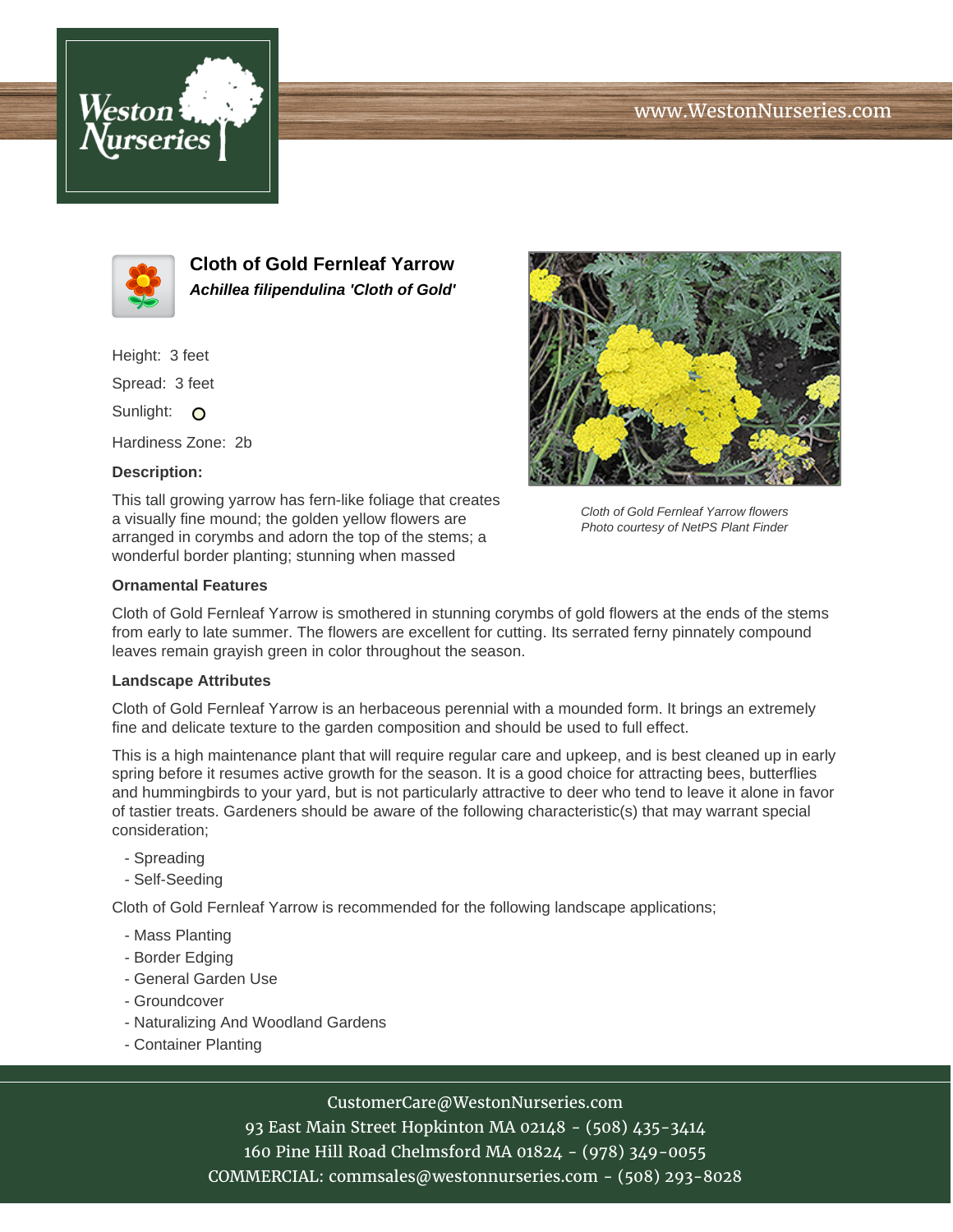# www.WestonNurseries.com





**Cloth of Gold Fernleaf Yarrow Achillea filipendulina 'Cloth of Gold'**

Height: 3 feet

Spread: 3 feet

Sunlight: O

Hardiness Zone: 2b

## **Description:**

This tall growing yarrow has fern-like foliage that creates a visually fine mound; the golden yellow flowers are arranged in corymbs and adorn the top of the stems; a wonderful border planting; stunning when massed



Cloth of Gold Fernleaf Yarrow flowers Photo courtesy of NetPS Plant Finder

#### **Ornamental Features**

Cloth of Gold Fernleaf Yarrow is smothered in stunning corymbs of gold flowers at the ends of the stems from early to late summer. The flowers are excellent for cutting. Its serrated ferny pinnately compound leaves remain grayish green in color throughout the season.

#### **Landscape Attributes**

Cloth of Gold Fernleaf Yarrow is an herbaceous perennial with a mounded form. It brings an extremely fine and delicate texture to the garden composition and should be used to full effect.

This is a high maintenance plant that will require regular care and upkeep, and is best cleaned up in early spring before it resumes active growth for the season. It is a good choice for attracting bees, butterflies and hummingbirds to your yard, but is not particularly attractive to deer who tend to leave it alone in favor of tastier treats. Gardeners should be aware of the following characteristic(s) that may warrant special consideration;

- Spreading
- Self-Seeding

Cloth of Gold Fernleaf Yarrow is recommended for the following landscape applications;

- Mass Planting
- Border Edging
- General Garden Use
- Groundcover
- Naturalizing And Woodland Gardens
- Container Planting

## CustomerCare@WestonNurseries.com

93 East Main Street Hopkinton MA 02148 - (508) 435-3414 160 Pine Hill Road Chelmsford MA 01824 - (978) 349-0055 COMMERCIAL: commsales@westonnurseries.com - (508) 293-8028